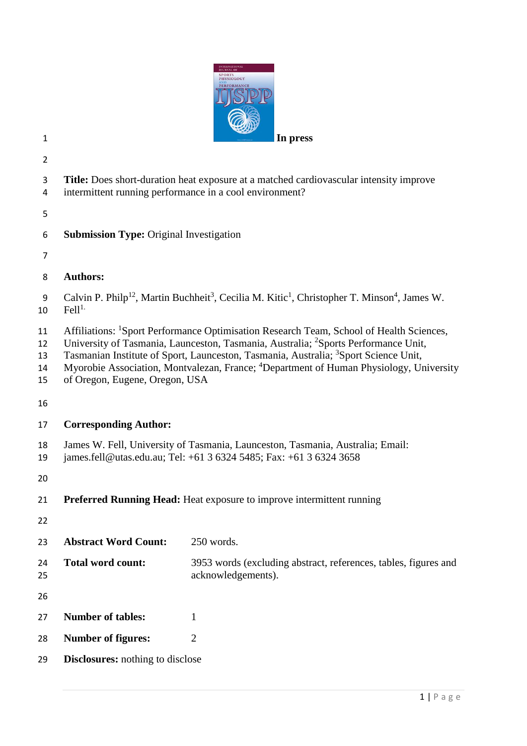

- 
- 
- **Title:** Does short-duration heat exposure at a matched cardiovascular intensity improve
- intermittent running performance in a cool environment?
- 
- **Submission Type:** Original Investigation
- 
- **Authors:**
- 9 Calvin P. Philp<sup>12</sup>, Martin Buchheit<sup>3</sup>, Cecilia M. Kitic<sup>1</sup>, Christopher T. Minson<sup>4</sup>, James W.  $Fe<sup>11</sup>$ .
- 11 Affiliations: <sup>1</sup>Sport Performance Optimisation Research Team, School of Health Sciences,
- 12 University of Tasmania, Launceston, Tasmania, Australia; <sup>2</sup>Sports Performance Unit,
- 13 Tasmanian Institute of Sport, Launceston, Tasmania, Australia; <sup>3</sup>Sport Science Unit,
- 14 Myorobie Association, Montvalezan, France; <sup>4</sup>Department of Human Physiology, University
- of Oregon, Eugene, Oregon, USA
- 
- **Corresponding Author:**
- James W. Fell, University of Tasmania, Launceston, Tasmania, Australia; Email:
- james.fell@utas.edu.au; Tel: +61 3 6324 5485; Fax: +61 3 6324 3658
- 
- **Preferred Running Head:** Heat exposure to improve intermittent running
- 

 **Abstract Word Count:** 250 words. **Total word count:** 3953 words (excluding abstract, references, tables, figures and acknowledgements). **Number of tables:** 1 **Number of figures:** 2 **Disclosures:** nothing to disclose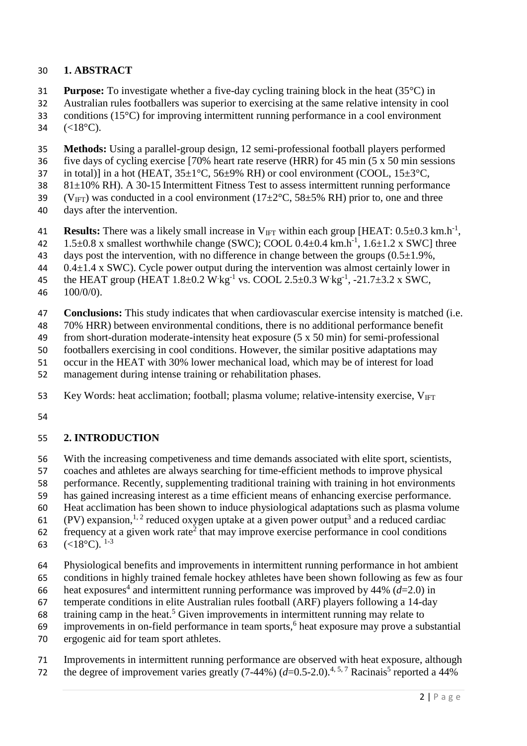### **1. ABSTRACT**

- **Purpose:** To investigate whether a five-day cycling training block in the heat (35°C) in
- Australian rules footballers was superior to exercising at the same relative intensity in cool
- conditions (15°C) for improving intermittent running performance in a cool environment
- 34  $(<18$ °C).
- **Methods:** Using a parallel-group design, 12 semi-professional football players performed
- five days of cycling exercise [70% heart rate reserve (HRR) for 45 min (5 x 50 min sessions
- 37 in total)] in a hot (HEAT,  $35\pm1^{\circ}$ C,  $56\pm9\%$  RH) or cool environment (COOL,  $15\pm3^{\circ}$ C,
- 81±10% RH). A 30-15 Intermittent Fitness Test to assess intermittent running performance
- 39 (V<sub>IFT</sub>) was conducted in a cool environment ( $17\pm2\degree$ C,  $58\pm5\%$  RH) prior to, one and three
- days after the intervention.
- **Results:** There was a likely small increase in  $V_{\text{IFT}}$  within each group [HEAT:  $0.5 \pm 0.3$  km.h<sup>-1</sup>,
- 42  $1.5\pm0.8$  x smallest worthwhile change (SWC); COOL  $0.4\pm0.4$  km.h<sup>-1</sup>,  $1.6\pm1.2$  x SWC] three
- 43 days post the intervention, with no difference in change between the groups  $(0.5\pm1.9\%$ ,
- 0.4 $\pm$ 1.4 x SWC). Cycle power output during the intervention was almost certainly lower in
- 45 the HEAT group (HEAT  $1.8 \pm 0.2$  W kg<sup>-1</sup> vs. COOL  $2.5 \pm 0.3$  W kg<sup>-1</sup>, -21.7 $\pm 3.2$  x SWC, 100/0/0).
- **Conclusions:** This study indicates that when cardiovascular exercise intensity is matched (i.e.
- 70% HRR) between environmental conditions, there is no additional performance benefit
- from short-duration moderate-intensity heat exposure (5 x 50 min) for semi-professional
- footballers exercising in cool conditions. However, the similar positive adaptations may
- occur in the HEAT with 30% lower mechanical load, which may be of interest for load
- management during intense training or rehabilitation phases.
- 53 Key Words: heat acclimation; football; plasma volume; relative-intensity exercise,  $V_{\text{IFT}}$
- 

### **2. INTRODUCTION**

- With the increasing competiveness and time demands associated with elite sport, scientists,
- coaches and athletes are always searching for time-efficient methods to improve physical
- performance. Recently, supplementing traditional training with training in hot environments
- has gained increasing interest as a time efficient means of enhancing exercise performance.
- Heat acclimation has been shown to induce physiological adaptations such as plasma volume
- 61 (PV) expansion,<sup>[1,](#page-10-0) [2](#page-10-1)</sup> reduced oxygen uptake at a given power output<sup>[3](#page-10-2)</sup> and a reduced cardiac
- [2](#page-10-1) frequency at a given work rate<sup>2</sup> that may improve exercise performance in cool conditions
- $(<18^{\circ}C).$ <sup>[1-3](#page-10-0)</sup>
- Physiological benefits and improvements in intermittent running performance in hot ambient
- conditions in highly trained female hockey athletes have been shown following as few as four
- 66 heat exposures<sup>[4](#page-10-3)</sup> and intermittent running performance was improved by 44%  $(d=2.0)$  in
- temperate conditions in elite Australian rules football (ARF) players following a 14-day
- 68 training camp in the heat.<sup>[5](#page-10-4)</sup> Given improvements in intermittent running may relate to
- 9 improvements in on-field performance in team sports,<sup>6</sup> heat exposure may prove a substantial
- ergogenic aid for team sport athletes.
- Improvements in intermittent running performance are observed with heat exposure, although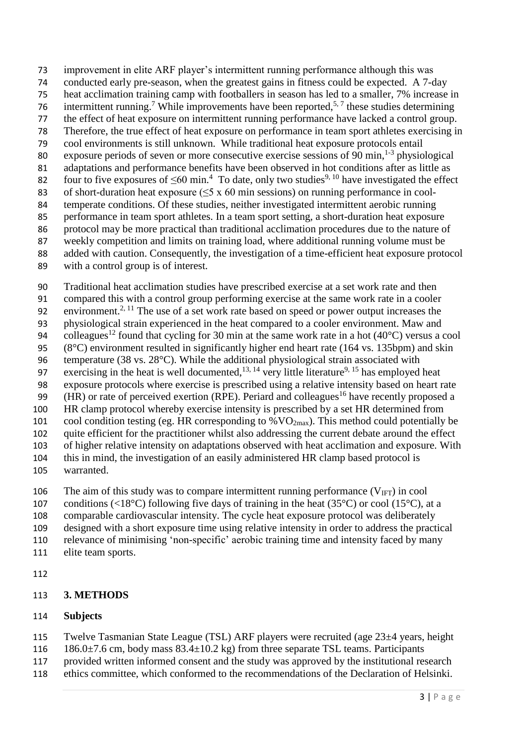improvement in elite ARF player's intermittent running performance although this was conducted early pre-season, when the greatest gains in fitness could be expected. A 7-day heat acclimation training camp with footballers in season has led to a smaller, 7% increase in 6 intermittent running.<sup>7</sup> While improvements have been reported,<sup>[5,](#page-10-4)7</sup> these studies determining the effect of heat exposure on intermittent running performance have lacked a control group. Therefore, the true effect of heat exposure on performance in team sport athletes exercising in cool environments is still unknown. While traditional heat exposure protocols entail 80 exposure periods of seven or more consecutive exercise sessions of 90 min,  $1-3$  physiological adaptations and performance benefits have been observed in hot conditions after as little as 82 four to five exposures of  $\leq 60$  min.<sup>[4](#page-10-3)</sup> To date, only two studies<sup>[9,](#page-10-7) [10](#page-10-8)</sup> have investigated the effect 83 of short-duration heat exposure  $(\leq 5 \times 60 \text{ min}$  sessions) on running performance in cool- temperate conditions. Of these studies, neither investigated intermittent aerobic running performance in team sport athletes. In a team sport setting, a short-duration heat exposure protocol may be more practical than traditional acclimation procedures due to the nature of weekly competition and limits on training load, where additional running volume must be added with caution. Consequently, the investigation of a time-efficient heat exposure protocol

with a control group is of interest.

 Traditional heat acclimation studies have prescribed exercise at a set work rate and then compared this with a control group performing exercise at the same work rate in a cooler 92 environment.<sup>[2,](#page-10-1) [11](#page-10-9)</sup> The use of a set work rate based on speed or power output increases the physiological strain experienced in the heat compared to a cooler environment. Maw and 94 colleagues<sup>[12](#page-10-10)</sup> found that cycling for 30 min at the same work rate in a hot (40°C) versus a cool (8°C) environment resulted in significantly higher end heart rate (164 vs. 135bpm) and skin temperature (38 vs. 28°C). While the additional physiological strain associated with 97 exercising in the heat is well documented,  $13, 14$  $13, 14$  very little literature<sup>[9,](#page-10-7) [15](#page-10-13)</sup> has employed heat exposure protocols where exercise is prescribed using a relative intensity based on heart rate 99 (HR) or rate of perceived exertion (RPE). Periard and colleagues<sup>[16](#page-11-0)</sup> have recently proposed a HR clamp protocol whereby exercise intensity is prescribed by a set HR determined from 101 cool condition testing (eg. HR corresponding to  $\%$  VO<sub>2max</sub>). This method could potentially be quite efficient for the practitioner whilst also addressing the current debate around the effect of higher relative intensity on adaptations observed with heat acclimation and exposure. With this in mind, the investigation of an easily administered HR clamp based protocol is

warranted.

106 The aim of this study was to compare intermittent running performance  $(V_{\text{IFT}})$  in cool

107 conditions (<18°C) following five days of training in the heat (35°C) or cool (15°C), at a

comparable cardiovascular intensity. The cycle heat exposure protocol was deliberately

- designed with a short exposure time using relative intensity in order to address the practical
- relevance of minimising 'non-specific' aerobic training time and intensity faced by many
- elite team sports.
- 

# **3. METHODS**

# **Subjects**

- Twelve Tasmanian State League (TSL) ARF players were recruited (age 23±4 years, height
- 116 186.0 $\pm$ 7.6 cm, body mass 83.4 $\pm$ 10.2 kg) from three separate TSL teams. Participants
- provided written informed consent and the study was approved by the institutional research
- ethics committee, which conformed to the recommendations of the Declaration of Helsinki.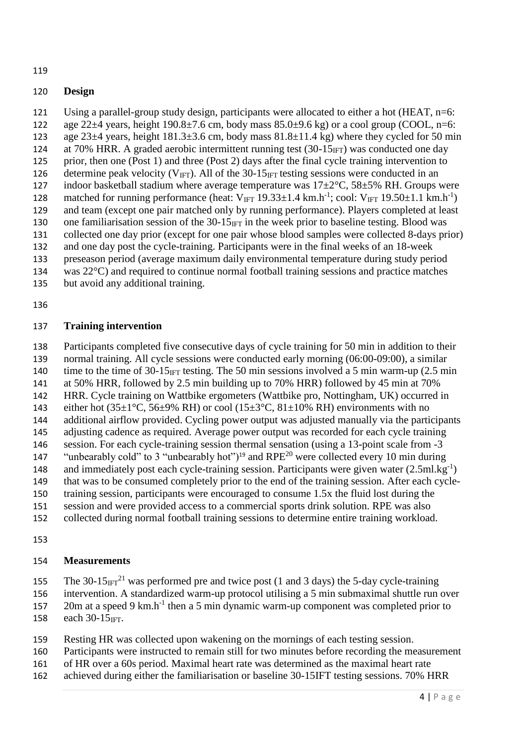### **Design**

Using a parallel-group study design, participants were allocated to either a hot (HEAT, n=6:

- 122 age 22 $\pm$ 4 years, height 190.8 $\pm$ 7.6 cm, body mass 85.0 $\pm$ 9.6 kg) or a cool group (COOL, n=6: 123 age  $23\pm 4$  years, height  $181.3\pm 3.6$  cm, body mass  $81.8\pm 11.4$  kg) where they cycled for 50 min
- 124 at 70% HRR. A graded aerobic intermittent running test  $(30-15<sub>IFT</sub>)$  was conducted one day
- prior, then one (Post 1) and three (Post 2) days after the final cycle training intervention to
- 126 determine peak velocity ( $V_{\text{IFT}}$ ). All of the 30-15<sub>IFT</sub> testing sessions were conducted in an
- 127 indoor basketball stadium where average temperature was  $17\pm2\degree C$ ,  $58\pm5\%$  RH. Groups were
- 128 matched for running performance (heat:  $V_{IFT}$  19.33 $\pm$ 1.4 km.h<sup>-1</sup>; cool:  $V_{IFT}$  19.50 $\pm$ 1.1 km.h<sup>-1</sup>) and team (except one pair matched only by running performance). Players completed at least
- 130 one familiarisation session of the  $30-15_{\text{IFT}}$  in the week prior to baseline testing. Blood was
- collected one day prior (except for one pair whose blood samples were collected 8-days prior)
- and one day post the cycle-training. Participants were in the final weeks of an 18-week
- preseason period (average maximum daily environmental temperature during study period
- was 22°C) and required to continue normal football training sessions and practice matches
- but avoid any additional training.
- 

# **Training intervention**

Participants completed five consecutive days of cycle training for 50 min in addition to their

- normal training. All cycle sessions were conducted early morning (06:00-09:00), a similar 140 time to the time of  $30-15_{\text{IFT}}$  testing. The 50 min sessions involved a 5 min warm-up (2.5 min
- at 50% HRR, followed by 2.5 min building up to 70% HRR) followed by 45 min at 70%
- HRR. Cycle training on Wattbike ergometers (Wattbike pro, Nottingham, UK) occurred in
- 143 either hot  $(35\pm1\degree C, 56\pm9\% \text{ RH})$  or cool  $(15\pm3\degree C, 81\pm10\% \text{ RH})$  environments with no
- additional airflow provided. Cycling power output was adjusted manually via the participants
- adjusting cadence as required. Average power output was recorded for each cycle training session. For each cycle-training session thermal sensation (using a 13-point scale from -3
- "unbearably cold" to 3 "unbearably hot")<sup>[19](#page-11-1)</sup> and RPE<sup>[20](#page-11-2)</sup> were collected every 10 min during
- 148 and immediately post each cycle-training session. Participants were given water (2.5ml.kg<sup>-1</sup>)
- that was to be consumed completely prior to the end of the training session. After each cycle-
- training session, participants were encouraged to consume 1.5x the fluid lost during the
- session and were provided access to a commercial sports drink solution. RPE was also
- collected during normal football training sessions to determine entire training workload.
- 

# **Measurements**

155 The 30-15 $_{IFT}^{21}$  $_{IFT}^{21}$  $_{IFT}^{21}$  was performed pre and twice post (1 and 3 days) the 5-day cycle-training

- intervention. A standardized warm-up protocol utilising a 5 min submaximal shuttle run over
- 157 20m at a speed 9 km.h<sup>-1</sup> then a 5 min dynamic warm-up component was completed prior to 158 each  $30-15$ IFT.
- Resting HR was collected upon wakening on the mornings of each testing session.
- Participants were instructed to remain still for two minutes before recording the measurement
- of HR over a 60s period. Maximal heart rate was determined as the maximal heart rate
- achieved during either the familiarisation or baseline 30-15IFT testing sessions. 70% HRR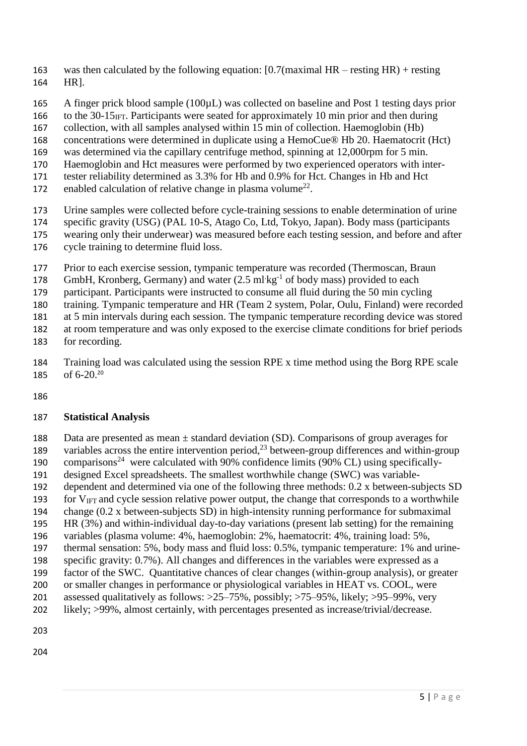- was then calculated by the following equation: [0.7(maximal HR resting HR) + resting HR].
- A finger prick blood sample (100µL) was collected on baseline and Post 1 testing days prior
- 166 to the 30-15 $_{\text{IFT}}$ . Participants were seated for approximately 10 min prior and then during
- collection, with all samples analysed within 15 min of collection. Haemoglobin (Hb)
- concentrations were determined in duplicate using a HemoCue® Hb 20. Haematocrit (Hct)
- was determined via the capillary centrifuge method, spinning at 12,000rpm for 5 min.
- Haemoglobin and Hct measures were performed by two experienced operators with inter-
- tester reliability determined as 3.3% for Hb and 0.9% for Hct. Changes in Hb and Hct
- 172 enabled calculation of relative change in plasma volume<sup>[22](#page-11-4)</sup>.
- Urine samples were collected before cycle-training sessions to enable determination of urine
- specific gravity (USG) (PAL 10-S, Atago Co, Ltd, Tokyo, Japan). Body mass (participants
- wearing only their underwear) was measured before each testing session, and before and after cycle training to determine fluid loss.
- Prior to each exercise session, tympanic temperature was recorded (Thermoscan, Braun
- 178 GmbH, Kronberg, Germany) and water (2.5 ml kg<sup>-1</sup> of body mass) provided to each
- participant. Participants were instructed to consume all fluid during the 50 min cycling
- training. Tympanic temperature and HR (Team 2 system, Polar, Oulu, Finland) were recorded
- at 5 min intervals during each session. The tympanic temperature recording device was stored
- at room temperature and was only exposed to the exercise climate conditions for brief periods
- for recording.
- Training load was calculated using the session RPE x time method using the Borg RPE scale 185 of 6-[20](#page-11-2).<sup>20</sup>
- 

#### **Statistical Analysis**

- Data are presented as mean ± standard deviation (SD). Comparisons of group averages for 189 variables across the entire intervention period,<sup>[23](#page-11-5)</sup> between-group differences and within-group
- 190 comparisons<sup>[24](#page-11-6)</sup> were calculated with 90% confidence limits (90% CL) using specifically-
- designed Excel spreadsheets. The smallest worthwhile change (SWC) was variable-
- dependent and determined via one of the following three methods: 0.2 x between-subjects SD 193 for  $V_{\text{IFT}}$  and cycle session relative power output, the change that corresponds to a worthwhile
- change (0.2 x between-subjects SD) in high-intensity running performance for submaximal
- HR (3%) and within-individual day-to-day variations (present lab setting) for the remaining
- variables (plasma volume: 4%, haemoglobin: 2%, haematocrit: 4%, training load: 5%,
- thermal sensation: 5%, body mass and fluid loss: 0.5%, tympanic temperature: 1% and urine-
- specific gravity: 0.7%). All changes and differences in the variables were expressed as a
- factor of the SWC. Quantitative chances of clear changes (within-group analysis), or greater
- or smaller changes in performance or physiological variables in HEAT vs. COOL, were
- assessed qualitatively as follows: >25–75%, possibly; >75–95%, likely; >95–99%, very
- likely; >99%, almost certainly, with percentages presented as increase/trivial/decrease.
- 
-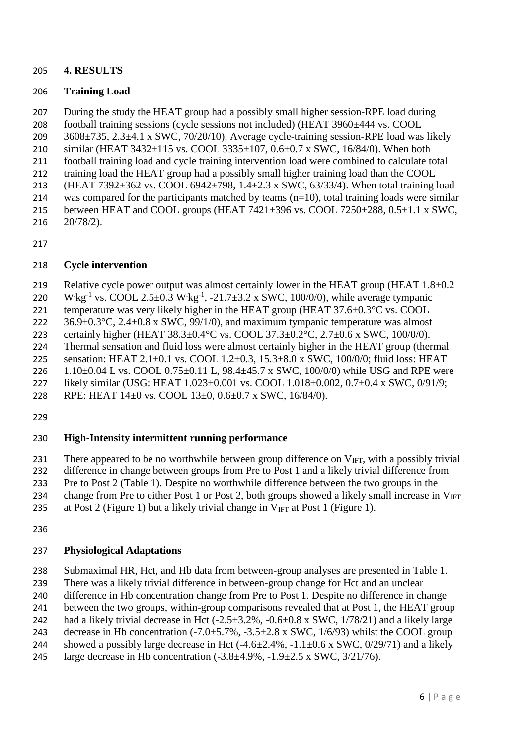#### **4. RESULTS**

### **Training Load**

During the study the HEAT group had a possibly small higher session-RPE load during

football training sessions (cycle sessions not included) (HEAT 3960±444 vs. COOL

3608 $\pm$ 735, 2.3 $\pm$ 4.1 x SWC, 70/20/10). Average cycle-training session-RPE load was likely

- similar (HEAT 3432±115 vs. COOL 3335±107, 0.6±0.7 x SWC, 16/84/0). When both
- football training load and cycle training intervention load were combined to calculate total training load the HEAT group had a possibly small higher training load than the COOL
- 213 (HEAT 7392 $\pm$ 362 vs. COOL 6942 $\pm$ 798, 1.4 $\pm$ 2.3 x SWC, 63/33/4). When total training load
- 214 was compared for the participants matched by teams  $(n=10)$ , total training loads were similar
- between HEAT and COOL groups (HEAT 7421±396 vs. COOL 7250±288, 0.5±1.1 x SWC,
- 20/78/2).

### **Cycle intervention**

219 Relative cycle power output was almost certainly lower in the HEAT group (HEAT 1.8 $\pm$ 0.2

220 W kg<sup>-1</sup> vs. COOL 2.5±0.3 W kg<sup>-1</sup>, -21.7±3.2 x SWC, 100/0/0), while average tympanic

221 temperature was very likely higher in the HEAT group (HEAT  $37.6\pm0.3\degree$ C vs. COOL

222  $36.9\pm0.3^{\circ}$ C,  $2.4\pm0.8$  x SWC,  $99/1/0$ ), and maximum tympanic temperature was almost

certainly higher (HEAT 38.3±0.4°C vs. COOL 37.3±0.2°C, 2.7±0.6 x SWC, 100/0/0).

Thermal sensation and fluid loss were almost certainly higher in the HEAT group (thermal

 sensation: HEAT 2.1±0.1 vs. COOL 1.2±0.3, 15.3±8.0 x SWC, 100/0/0; fluid loss: HEAT 226 1.10 $\pm$ 0.04 L vs. COOL 0.75 $\pm$ 0.11 L, 98.4 $\pm$ 45.7 x SWC, 100/0/0) while USG and RPE were

likely similar (USG: HEAT 1.023±0.001 vs. COOL 1.018±0.002, 0.7±0.4 x SWC, 0/91/9;

RPE: HEAT 14±0 vs. COOL 13±0, 0.6±0.7 x SWC, 16/84/0).

# **High-Intensity intermittent running performance**

231 There appeared to be no worthwhile between group difference on  $V_{\text{IFT}}$ , with a possibly trivial

difference in change between groups from Pre to Post 1 and a likely trivial difference from

Pre to Post 2 (Table 1). Despite no worthwhile difference between the two groups in the

234 change from Pre to either Post 1 or Post 2, both groups showed a likely small increase in  $V_{\text{IFT}}$ 

235 at Post 2 (Figure 1) but a likely trivial change in  $V_{\text{IFT}}$  at Post 1 (Figure 1).

### **Physiological Adaptations**

Submaximal HR, Hct, and Hb data from between-group analyses are presented in Table 1.

There was a likely trivial difference in between-group change for Hct and an unclear

- difference in Hb concentration change from Pre to Post 1. Despite no difference in change
- between the two groups, within-group comparisons revealed that at Post 1, the HEAT group
- 242 had a likely trivial decrease in Hct  $(-2.5\pm3.2\%,-0.6\pm0.8 \text{ x SWC}, 1/78/21)$  and a likely large
- 243 decrease in Hb concentration  $(-7.0 \pm 5.7\%,-3.5 \pm 2.8 \times \text{SWC}, 1/6/93)$  whilst the COOL group
- 244 showed a possibly large decrease in Hct  $(-4.6\pm 2.4\%,-1.1\pm 0.6 \times \text{SWC}, 0/29/71)$  and a likely
- 245 large decrease in Hb concentration  $(-3.8 \pm 4.9\%,-1.9 \pm 2.5 \times \text{SWC}, 3/21/76)$ .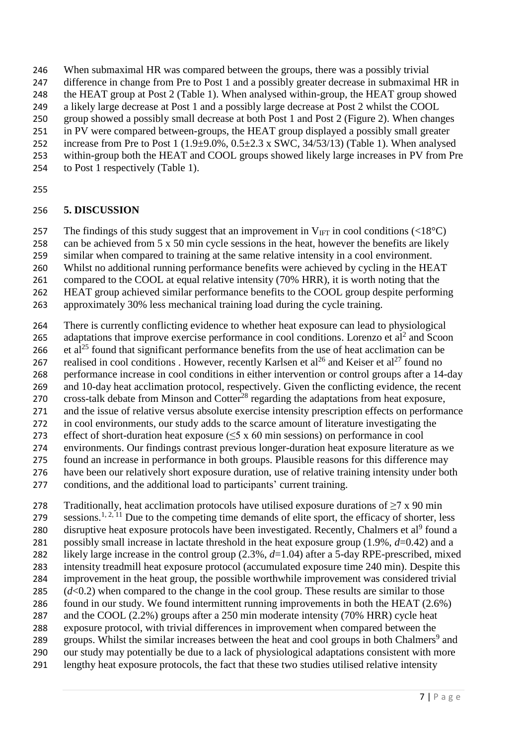When submaximal HR was compared between the groups, there was a possibly trivial

- difference in change from Pre to Post 1 and a possibly greater decrease in submaximal HR in
- the HEAT group at Post 2 (Table 1). When analysed within-group, the HEAT group showed
- a likely large decrease at Post 1 and a possibly large decrease at Post 2 whilst the COOL
- group showed a possibly small decrease at both Post 1 and Post 2 (Figure 2). When changes in PV were compared between-groups, the HEAT group displayed a possibly small greater
- 252 increase from Pre to Post 1 ( $1.9\pm9.0\%$ ,  $0.5\pm2.3$  x SWC,  $34/53/13$ ) (Table 1). When analysed
- within-group both the HEAT and COOL groups showed likely large increases in PV from Pre
- to Post 1 respectively (Table 1).
- 

# **5. DISCUSSION**

257 The findings of this study suggest that an improvement in  $V_{\text{IFT}}$  in cool conditions (<18<sup>o</sup>C)

- can be achieved from 5 x 50 min cycle sessions in the heat, however the benefits are likely
- similar when compared to training at the same relative intensity in a cool environment.
- Whilst no additional running performance benefits were achieved by cycling in the HEAT
- compared to the COOL at equal relative intensity (70% HRR), it is worth noting that the
- HEAT group achieved similar performance benefits to the COOL group despite performing approximately 30% less mechanical training load during the cycle training.
- 
- There is currently conflicting evidence to whether heat exposure can lead to physiological
- [2](#page-10-1)65 adaptations that improve exercise performance in cool conditions. Lorenzo et  $al^2$  and Scoon
- 266  $\cdot$  et al<sup>[25](#page-11-7)</sup> found that significant performance benefits from the use of heat acclimation can be
- 7 realised in cool conditions . However, recently Karlsen et al<sup>26</sup> and Keiser et al<sup>[27](#page-11-9)</sup> found no performance increase in cool conditions in either intervention or control groups after a 14-day
- and 10-day heat acclimation protocol, respectively. Given the conflicting evidence, the recent
- 270 cross-talk debate from Minson and Cotter<sup>[28](#page-11-10)</sup> regarding the adaptations from heat exposure,
- and the issue of relative versus absolute exercise intensity prescription effects on performance
- in cool environments, our study adds to the scarce amount of literature investigating the
- effect of short-duration heat exposure (≤5 x 60 min sessions) on performance in cool
- environments. Our findings contrast previous longer-duration heat exposure literature as we
- found an increase in performance in both groups. Plausible reasons for this difference may
- have been our relatively short exposure duration, use of relative training intensity under both
- conditions, and the additional load to participants' current training.
- 278 Traditionally, heat acclimation protocols have utilised exposure durations of  $\geq$ 7 x 90 min 279 sessions.<sup>[1,](#page-10-0) [2,](#page-10-1) [11](#page-10-9)</sup> Due to the competing time demands of elite sport, the efficacy of shorter, less 280 disruptive heat exposure protocols have been investigated. Recently, Chalmers et al<sup>[9](#page-10-7)</sup> found a possibly small increase in lactate threshold in the heat exposure group (1.9%, *d*=0.42) and a likely large increase in the control group (2.3%, *d*=1.04) after a 5-day RPE-prescribed, mixed intensity treadmill heat exposure protocol (accumulated exposure time 240 min). Despite this improvement in the heat group, the possible worthwhile improvement was considered trivial 285  $(d<0.2)$  when compared to the change in the cool group. These results are similar to those found in our study. We found intermittent running improvements in both the HEAT (2.6%) 287 and the COOL (2.2%) groups after a 250 min moderate intensity (70% HRR) cycle heat exposure protocol, with trivial differences in improvement when compared between the [9](#page-10-7) groups. Whilst the similar increases between the heat and cool groups in both Chalmers<sup>9</sup> and our study may potentially be due to a lack of physiological adaptations consistent with more lengthy heat exposure protocols, the fact that these two studies utilised relative intensity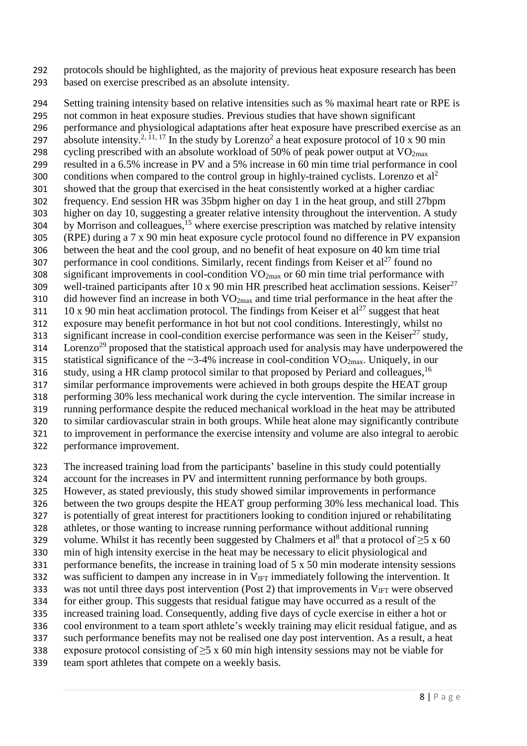protocols should be highlighted, as the majority of previous heat exposure research has been based on exercise prescribed as an absolute intensity.

 Setting training intensity based on relative intensities such as % maximal heart rate or RPE is not common in heat exposure studies. Previous studies that have shown significant performance and physiological adaptations after heat exposure have prescribed exercise as an 297 absolute intensity.<sup>[2,](#page-10-1) [11,](#page-10-9) [17](#page-11-11)</sup> In the study by Lorenzo<sup>[2](#page-10-1)</sup> a heat exposure protocol of 10 x 90 min 298 cycling prescribed with an absolute workload of 50% of peak power output at  $VO<sub>2max</sub>$  resulted in a 6.5% increase in PV and a 5% increase in 60 min time trial performance in cool conditions when compared to the control group in highly-trained cyclists. Lorenzo et  $al^2$  $al^2$  showed that the group that exercised in the heat consistently worked at a higher cardiac frequency. End session HR was 35bpm higher on day 1 in the heat group, and still 27bpm higher on day 10, suggesting a greater relative intensity throughout the intervention. A study by Morrison and colleagues,<sup>[15](#page-10-13)</sup> where exercise prescription was matched by relative intensity (RPE) during a 7 x 90 min heat exposure cycle protocol found no difference in PV expansion between the heat and the cool group, and no benefit of heat exposure on 40 km time trial 307 performance in cool conditions. Similarly, recent findings from Keiser et al<sup>[27](#page-11-9)</sup> found no significant improvements in cool-condition VO2max or 60 min time trial performance with 309 well-trained participants after 10 x 90 min HR prescribed heat acclimation sessions. Keiser $^{27}$  $^{27}$  $^{27}$ 310 did however find an increase in both  $VO_{2max}$  and time trial performance in the heat after the 10 x 90 min heat acclimation protocol. The findings from Keiser et al<sup>[27](#page-11-9)</sup> suggest that heat exposure may benefit performance in hot but not cool conditions. Interestingly, whilst no  $\sin^2$  significant increase in cool-condition exercise performance was seen in the Keiser<sup>[27](#page-11-9)</sup> study,  $2^{29}$  $2^{29}$  $2^{29}$  proposed that the statistical approach used for analysis may have underpowered the 315 statistical significance of the  $\sim$ 3-4% increase in cool-condition VO<sub>2max</sub>. Uniquely, in our [16](#page-11-0) study, using a HR clamp protocol similar to that proposed by Periard and colleagues,<sup>16</sup> similar performance improvements were achieved in both groups despite the HEAT group performing 30% less mechanical work during the cycle intervention. The similar increase in running performance despite the reduced mechanical workload in the heat may be attributed to similar cardiovascular strain in both groups. While heat alone may significantly contribute to improvement in performance the exercise intensity and volume are also integral to aerobic performance improvement.

The increased training load from the participants' baseline in this study could potentially

- account for the increases in PV and intermittent running performance by both groups.
- However, as stated previously, this study showed similar improvements in performance
- between the two groups despite the HEAT group performing 30% less mechanical load. This
- is potentially of great interest for practitioners looking to condition injured or rehabilitating athletes, or those wanting to increase running performance without additional running
- 329 vo[l](#page-10-14)ume. Whilst it has recently been suggested by Chalmers et al<sup>8</sup> that a protocol of  $\geq$ 5 x 60
- min of high intensity exercise in the heat may be necessary to elicit physiological and
- performance benefits, the increase in training load of 5 x 50 min moderate intensity sessions
- 332 was sufficient to dampen any increase in in  $V_{\text{IFT}}$  immediately following the intervention. It
- 333 was not until three days post intervention (Post 2) that improvements in  $V_{\text{IFT}}$  were observed
- for either group. This suggests that residual fatigue may have occurred as a result of the increased training load. Consequently, adding five days of cycle exercise in either a hot or
- cool environment to a team sport athlete's weekly training may elicit residual fatigue, and as
- such performance benefits may not be realised one day post intervention. As a result, a heat
- 338 exposure protocol consisting of  $\geq$ 5 x 60 min high intensity sessions may not be viable for
- team sport athletes that compete on a weekly basis.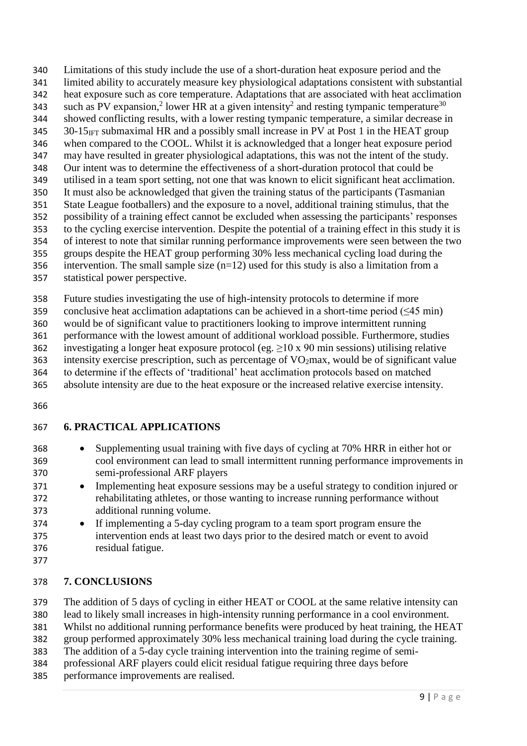Limitations of this study include the use of a short-duration heat exposure period and the limited ability to accurately measure key physiological adaptations consistent with substantial heat exposure such as core temperature. Adaptations that are associated with heat acclimation 343 such as PV expansion,<sup>[2](#page-10-1)</sup> lower HR at a given intensity<sup>2</sup> and resting tympanic temperature<sup>[30](#page-11-13)</sup> showed conflicting results, with a lower resting tympanic temperature, a similar decrease in 30-15<sub>IFT</sub> submaximal HR and a possibly small increase in PV at Post 1 in the HEAT group when compared to the COOL. Whilst it is acknowledged that a longer heat exposure period may have resulted in greater physiological adaptations, this was not the intent of the study. Our intent was to determine the effectiveness of a short-duration protocol that could be utilised in a team sport setting, not one that was known to elicit significant heat acclimation. It must also be acknowledged that given the training status of the participants (Tasmanian State League footballers) and the exposure to a novel, additional training stimulus, that the possibility of a training effect cannot be excluded when assessing the participants' responses to the cycling exercise intervention. Despite the potential of a training effect in this study it is of interest to note that similar running performance improvements were seen between the two groups despite the HEAT group performing 30% less mechanical cycling load during the 356 intervention. The small sample size  $(n=12)$  used for this study is also a limitation from a statistical power perspective.

 Future studies investigating the use of high-intensity protocols to determine if more 359 conclusive heat acclimation adaptations can be achieved in a short-time period  $(\leq 45 \text{ min})$  would be of significant value to practitioners looking to improve intermittent running performance with the lowest amount of additional workload possible. Furthermore, studies 362 investigating a longer heat exposure protocol (eg.  $\geq$  10 x 90 min sessions) utilising relative 363 intensity exercise prescription, such as percentage of  $VO<sub>2</sub>max$ , would be of significant value

to determine if the effects of 'traditional' heat acclimation protocols based on matched

absolute intensity are due to the heat exposure or the increased relative exercise intensity.

# **6. PRACTICAL APPLICATIONS**

- Supplementing usual training with five days of cycling at 70% HRR in either hot or cool environment can lead to small intermittent running performance improvements in semi-professional ARF players
- 371 Implementing heat exposure sessions may be a useful strategy to condition injured or rehabilitating athletes, or those wanting to increase running performance without additional running volume.
- 374 If implementing a 5-day cycling program to a team sport program ensure the intervention ends at least two days prior to the desired match or event to avoid residual fatigue.
- 

### **7. CONCLUSIONS**

The addition of 5 days of cycling in either HEAT or COOL at the same relative intensity can

lead to likely small increases in high-intensity running performance in a cool environment.

Whilst no additional running performance benefits were produced by heat training, the HEAT

group performed approximately 30% less mechanical training load during the cycle training.

- The addition of a 5-day cycle training intervention into the training regime of semi-
- professional ARF players could elicit residual fatigue requiring three days before
- performance improvements are realised.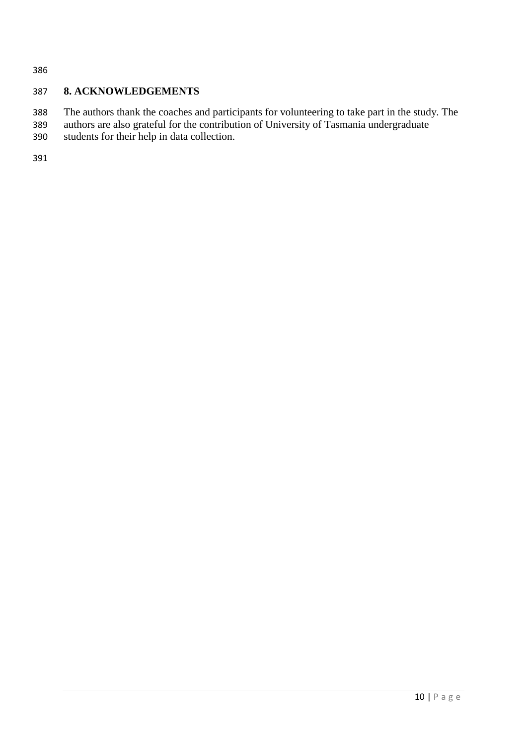### **8. ACKNOWLEDGEMENTS**

- The authors thank the coaches and participants for volunteering to take part in the study. The
- authors are also grateful for the contribution of University of Tasmania undergraduate students for their help in data collection.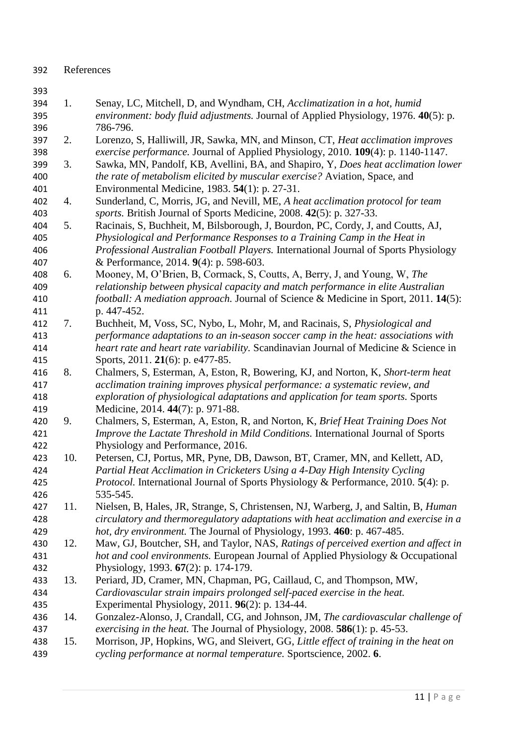#### References

- <span id="page-10-0"></span> 1. Senay, LC, Mitchell, D, and Wyndham, CH, *Acclimatization in a hot, humid environment: body fluid adjustments.* Journal of Applied Physiology, 1976. **40**(5): p. 786-796.
- <span id="page-10-1"></span> 2. Lorenzo, S, Halliwill, JR, Sawka, MN, and Minson, CT, *Heat acclimation improves exercise performance.* Journal of Applied Physiology, 2010. **109**(4): p. 1140-1147.
- <span id="page-10-2"></span> 3. Sawka, MN, Pandolf, KB, Avellini, BA, and Shapiro, Y, *Does heat acclimation lower the rate of metabolism elicited by muscular exercise?* Aviation, Space, and Environmental Medicine, 1983. **54**(1): p. 27-31.
- <span id="page-10-3"></span> 4. Sunderland, C, Morris, JG, and Nevill, ME, *A heat acclimation protocol for team sports.* British Journal of Sports Medicine, 2008. **42**(5): p. 327-33.
- <span id="page-10-4"></span> 5. Racinais, S, Buchheit, M, Bilsborough, J, Bourdon, PC, Cordy, J, and Coutts, AJ, *Physiological and Performance Responses to a Training Camp in the Heat in Professional Australian Football Players.* International Journal of Sports Physiology & Performance, 2014. **9**(4): p. 598-603.
- <span id="page-10-5"></span> 6. Mooney, M, O'Brien, B, Cormack, S, Coutts, A, Berry, J, and Young, W, *The relationship between physical capacity and match performance in elite Australian football: A mediation approach.* Journal of Science & Medicine in Sport, 2011. **14**(5): p. 447-452.
- <span id="page-10-6"></span> 7. Buchheit, M, Voss, SC, Nybo, L, Mohr, M, and Racinais, S, *Physiological and performance adaptations to an in-season soccer camp in the heat: associations with heart rate and heart rate variability.* Scandinavian Journal of Medicine & Science in Sports, 2011. **21**(6): p. e477-85.
- <span id="page-10-14"></span> 8. Chalmers, S, Esterman, A, Eston, R, Bowering, KJ, and Norton, K, *Short-term heat acclimation training improves physical performance: a systematic review, and exploration of physiological adaptations and application for team sports.* Sports Medicine, 2014. **44**(7): p. 971-88.
- <span id="page-10-7"></span> 9. Chalmers, S, Esterman, A, Eston, R, and Norton, K, *Brief Heat Training Does Not Improve the Lactate Threshold in Mild Conditions.* International Journal of Sports Physiology and Performance, 2016.
- <span id="page-10-8"></span> 10. Petersen, CJ, Portus, MR, Pyne, DB, Dawson, BT, Cramer, MN, and Kellett, AD, *Partial Heat Acclimation in Cricketers Using a 4-Day High Intensity Cycling Protocol.* International Journal of Sports Physiology & Performance, 2010. **5**(4): p. 535-545.
- <span id="page-10-9"></span> 11. Nielsen, B, Hales, JR, Strange, S, Christensen, NJ, Warberg, J, and Saltin, B, *Human circulatory and thermoregulatory adaptations with heat acclimation and exercise in a hot, dry environment.* The Journal of Physiology, 1993. **460**: p. 467-485.
- <span id="page-10-10"></span> 12. Maw, GJ, Boutcher, SH, and Taylor, NAS, *Ratings of perceived exertion and affect in hot and cool environments.* European Journal of Applied Physiology & Occupational Physiology, 1993. **67**(2): p. 174-179.
- <span id="page-10-11"></span> 13. Periard, JD, Cramer, MN, Chapman, PG, Caillaud, C, and Thompson, MW, *Cardiovascular strain impairs prolonged self-paced exercise in the heat.* Experimental Physiology, 2011. **96**(2): p. 134-44.
- <span id="page-10-12"></span> 14. Gonzalez-Alonso, J, Crandall, CG, and Johnson, JM, *The cardiovascular challenge of exercising in the heat.* The Journal of Physiology, 2008. **586**(1): p. 45-53.
- <span id="page-10-13"></span> 15. Morrison, JP, Hopkins, WG, and Sleivert, GG, *Little effect of training in the heat on cycling performance at normal temperature.* Sportscience, 2002. **6**.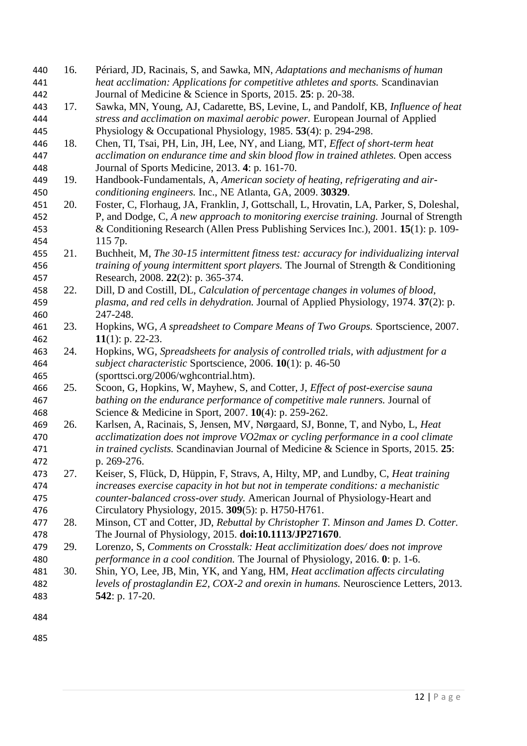<span id="page-11-11"></span><span id="page-11-6"></span><span id="page-11-5"></span><span id="page-11-4"></span><span id="page-11-3"></span><span id="page-11-2"></span><span id="page-11-1"></span><span id="page-11-0"></span>

| 440 | 16. | Périard, JD, Racinais, S, and Sawka, MN, Adaptations and mechanisms of human            |
|-----|-----|-----------------------------------------------------------------------------------------|
| 441 |     | heat acclimation: Applications for competitive athletes and sports. Scandinavian        |
| 442 |     | Journal of Medicine & Science in Sports, 2015. 25: p. 20-38.                            |
| 443 | 17. | Sawka, MN, Young, AJ, Cadarette, BS, Levine, L, and Pandolf, KB, Influence of heat      |
| 444 |     | stress and acclimation on maximal aerobic power. European Journal of Applied            |
| 445 |     | Physiology & Occupational Physiology, 1985. 53(4): p. 294-298.                          |
| 446 | 18. | Chen, TI, Tsai, PH, Lin, JH, Lee, NY, and Liang, MT, Effect of short-term heat          |
| 447 |     | acclimation on endurance time and skin blood flow in trained athletes. Open access      |
| 448 |     | Journal of Sports Medicine, 2013. 4: p. 161-70.                                         |
| 449 | 19. | Handbook-Fundamentals, A, American society of heating, refrigerating and air-           |
| 450 |     | conditioning engineers. Inc., NE Atlanta, GA, 2009. 30329.                              |
| 451 | 20. | Foster, C, Florhaug, JA, Franklin, J, Gottschall, L, Hrovatin, LA, Parker, S, Doleshal, |
| 452 |     | P, and Dodge, C, A new approach to monitoring exercise training. Journal of Strength    |
| 453 |     | & Conditioning Research (Allen Press Publishing Services Inc.), 2001. 15(1): p. 109-    |
| 454 |     | 115 7p.                                                                                 |
| 455 | 21. | Buchheit, M, The 30-15 intermittent fitness test: accuracy for individualizing interval |
| 456 |     | training of young intermittent sport players. The Journal of Strength & Conditioning    |
| 457 |     | Research, 2008. 22(2): p. 365-374.                                                      |
| 458 | 22. | Dill, D and Costill, DL, Calculation of percentage changes in volumes of blood,         |
| 459 |     | plasma, and red cells in dehydration. Journal of Applied Physiology, 1974. 37(2): p.    |
| 460 |     | 247-248.                                                                                |
| 461 | 23. | Hopkins, WG, A spreadsheet to Compare Means of Two Groups. Sportscience, 2007.          |
| 462 |     | 11(1): p. 22-23.                                                                        |
| 463 | 24. | Hopkins, WG, Spreadsheets for analysis of controlled trials, with adjustment for a      |
| 464 |     | subject characteristic Sportscience, 2006. 10(1): p. 46-50                              |
| 465 |     | (sporttsci.org/2006/wghcontrial.htm).                                                   |
| 466 | 25. | Scoon, G, Hopkins, W, Mayhew, S, and Cotter, J, Effect of post-exercise sauna           |
| 467 |     | bathing on the endurance performance of competitive male runners. Journal of            |
| 468 |     | Science & Medicine in Sport, 2007. 10(4): p. 259-262.                                   |
| 469 | 26. | Karlsen, A, Racinais, S, Jensen, MV, Nørgaard, SJ, Bonne, T, and Nybo, L, Heat          |
| 470 |     | acclimatization does not improve VO2max or cycling performance in a cool climate        |
| 471 |     | in trained cyclists. Scandinavian Journal of Medicine & Science in Sports, 2015. 25:    |
| 472 |     | p. 269-276.                                                                             |
| 473 | 27. | Keiser, S, Flück, D, Hüppin, F, Stravs, A, Hilty, MP, and Lundby, C, Heat training      |
| 474 |     | increases exercise capacity in hot but not in temperate conditions: a mechanistic       |
| 475 |     | counter-balanced cross-over study. American Journal of Physiology-Heart and             |
| 476 |     | Circulatory Physiology, 2015. 309(5): p. H750-H761.                                     |
| 477 | 28. | Minson, CT and Cotter, JD, Rebuttal by Christopher T. Minson and James D. Cotter.       |
| 478 |     | The Journal of Physiology, 2015. doi:10.1113/JP271670.                                  |
| 479 | 29. | Lorenzo, S, Comments on Crosstalk: Heat acclimitization does/does not improve           |
| 480 |     | performance in a cool condition. The Journal of Physiology, 2016. 0: p. 1-6.            |
| 481 | 30. | Shin, YO, Lee, JB, Min, YK, and Yang, HM, Heat acclimation affects circulating          |
| 482 |     | levels of prostaglandin E2, COX-2 and orexin in humans. Neuroscience Letters, 2013.     |
| 483 |     | <b>542</b> : p. 17-20.                                                                  |
|     |     |                                                                                         |
| 484 |     |                                                                                         |
|     |     |                                                                                         |

<span id="page-11-13"></span><span id="page-11-12"></span><span id="page-11-10"></span><span id="page-11-9"></span><span id="page-11-8"></span><span id="page-11-7"></span>